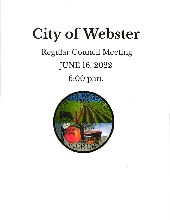# **City of Webster Regular Council Meeting JUNE 16, 2022** 6:00 p.m.

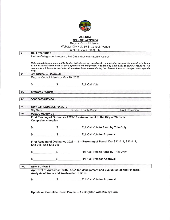

# AGENDA <u>CITY OF WEBSTE</u>

Regular Council Meeting Webster City Hall, 85 E. Central Avenue

| <b>CALL TO ORDER</b><br>item.<br><b>CITIZEN'S FORUM</b><br><b>CONSENT AGENDA</b><br><b>City Clerk</b><br><b>PUBLIC HEARINGS</b> | <b>APPROVAL OF MINUTES</b><br>Regular Council Meeting- May 19, 2022.<br><b>CORRESPONDENCE TO NOTE</b><br>Comprehensive plan | Pledge of Allegiance, Invocation, Roll Call and Determination of Quorum<br>Note. All public comments will be limited to 3 minutes per speaker. Anyone wishing to speak during citizen's forum<br>or on an agenda item must fill out a speaker card and present it to the City Clerk prior to being recognized. All<br>comments will be addressed after all speakers have spoken during the citizen's forum or on a particular agenda<br>M S S Roll Call Vote<br><u> 1980 - La Francisco da Francisco de Francisco </u><br>with a first construction of the property of the construction of the construction of the construction of the construction of the construction of the construction of the construction of the construction of the construction<br>Director of Public Works<br>Law Enforcement<br>First Reading of Ordinance 2022-10 - Amendment to the City of Webster |
|---------------------------------------------------------------------------------------------------------------------------------|-----------------------------------------------------------------------------------------------------------------------------|---------------------------------------------------------------------------------------------------------------------------------------------------------------------------------------------------------------------------------------------------------------------------------------------------------------------------------------------------------------------------------------------------------------------------------------------------------------------------------------------------------------------------------------------------------------------------------------------------------------------------------------------------------------------------------------------------------------------------------------------------------------------------------------------------------------------------------------------------------------------------------|
|                                                                                                                                 |                                                                                                                             |                                                                                                                                                                                                                                                                                                                                                                                                                                                                                                                                                                                                                                                                                                                                                                                                                                                                                 |
|                                                                                                                                 |                                                                                                                             |                                                                                                                                                                                                                                                                                                                                                                                                                                                                                                                                                                                                                                                                                                                                                                                                                                                                                 |
|                                                                                                                                 |                                                                                                                             |                                                                                                                                                                                                                                                                                                                                                                                                                                                                                                                                                                                                                                                                                                                                                                                                                                                                                 |
|                                                                                                                                 |                                                                                                                             |                                                                                                                                                                                                                                                                                                                                                                                                                                                                                                                                                                                                                                                                                                                                                                                                                                                                                 |
|                                                                                                                                 |                                                                                                                             |                                                                                                                                                                                                                                                                                                                                                                                                                                                                                                                                                                                                                                                                                                                                                                                                                                                                                 |
|                                                                                                                                 |                                                                                                                             |                                                                                                                                                                                                                                                                                                                                                                                                                                                                                                                                                                                                                                                                                                                                                                                                                                                                                 |
|                                                                                                                                 |                                                                                                                             |                                                                                                                                                                                                                                                                                                                                                                                                                                                                                                                                                                                                                                                                                                                                                                                                                                                                                 |
|                                                                                                                                 |                                                                                                                             |                                                                                                                                                                                                                                                                                                                                                                                                                                                                                                                                                                                                                                                                                                                                                                                                                                                                                 |
|                                                                                                                                 |                                                                                                                             |                                                                                                                                                                                                                                                                                                                                                                                                                                                                                                                                                                                                                                                                                                                                                                                                                                                                                 |
|                                                                                                                                 |                                                                                                                             |                                                                                                                                                                                                                                                                                                                                                                                                                                                                                                                                                                                                                                                                                                                                                                                                                                                                                 |
|                                                                                                                                 |                                                                                                                             |                                                                                                                                                                                                                                                                                                                                                                                                                                                                                                                                                                                                                                                                                                                                                                                                                                                                                 |
| M                                                                                                                               |                                                                                                                             | S Roll Call Vote for Approval                                                                                                                                                                                                                                                                                                                                                                                                                                                                                                                                                                                                                                                                                                                                                                                                                                                   |
|                                                                                                                                 | S12-015, And S12-016                                                                                                        | First Reading of Ordinance 2022 - 11 - Rezoning of Parcel ID's S12-013, S12-014,                                                                                                                                                                                                                                                                                                                                                                                                                                                                                                                                                                                                                                                                                                                                                                                                |
|                                                                                                                                 |                                                                                                                             |                                                                                                                                                                                                                                                                                                                                                                                                                                                                                                                                                                                                                                                                                                                                                                                                                                                                                 |
| M                                                                                                                               |                                                                                                                             | S Roll Call Vote for Approval                                                                                                                                                                                                                                                                                                                                                                                                                                                                                                                                                                                                                                                                                                                                                                                                                                                   |
|                                                                                                                                 |                                                                                                                             |                                                                                                                                                                                                                                                                                                                                                                                                                                                                                                                                                                                                                                                                                                                                                                                                                                                                                 |
|                                                                                                                                 |                                                                                                                             | Approval of Agreement with FGUA for Management and Evaluation of and Financial                                                                                                                                                                                                                                                                                                                                                                                                                                                                                                                                                                                                                                                                                                                                                                                                  |
|                                                                                                                                 |                                                                                                                             | Roll Call Vote for Approval                                                                                                                                                                                                                                                                                                                                                                                                                                                                                                                                                                                                                                                                                                                                                                                                                                                     |
|                                                                                                                                 |                                                                                                                             | <b>NEW BUSINESS</b><br>Analysis of Water and Wastewater Utilities<br>S                                                                                                                                                                                                                                                                                                                                                                                                                                                                                                                                                                                                                                                                                                                                                                                                          |

Update on Complete Street Project - Ali Brighton with Kinley Horn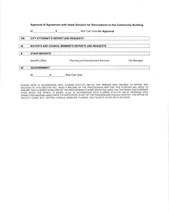Approval of Agreement with Hawk Solution for Renovations to the Community Building

M S S Roll Call Vote for Approval

### VIII. CITY ATTORNEY'S REPORT AND REQUESTS

## IX. MAYOR'S AND COUNCIL MEMBER'S REPORTS AND REQUESTS

X. STAFFREPORTS

XI. ADJOURNMENT

Sheriff's Office **Planning and Development Services** City Manager

S -Roll Call Vote.  $\mathsf{M}$ 

PLEASE NOTE IN ACCORDANCE WITH FLORIDA STATUTE 286.105, ANY PERSON WHO DESIRES TO APPEAL ANY OECISION AT THIS MEETING WILL NEED A RECORD OF THE PROCEEDINGS AND FOR THIS PURPOSE MAY NEED TO ENSURE THAT A VERBATIM RECORD OF THE PROCEEDINGS IS MADE WHICH INCLUDES THE TESTIMONY AND EVIDENCE uPoN WHICH THE APPEAL lS BASEO. ALSO, lN ACCORDANCE W|TH FLORIDA STATUTE 286.26; PERSONS WITH DISABILITIES NEEDING ASSISTANCE TO PARTICIPATE IN ANY OF THE PROCEEDINGS SHOULD CONTACT THE OFFICE OF THE CITY CLERK; 85 E. CENTRAL AVENUE; WEBSTER, FLORIDA; (352) 793-2073; 48 HOURS IN ADVANCE.